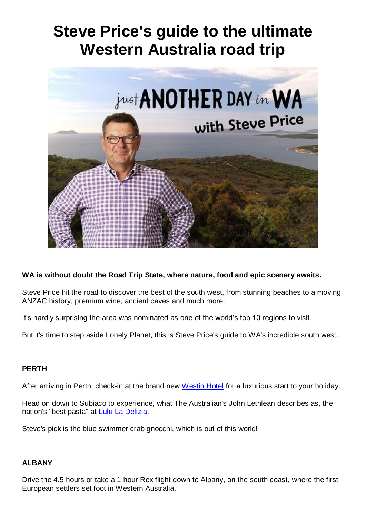# **Steve Price's guide to the ultimate Western Australia road trip**



# **WA is without doubt the Road Trip State, where nature, food and epic scenery awaits.**

Steve Price hit the road to discover the best of the south west, from stunning beaches to a moving ANZAC history, premium wine, ancient caves and much more.

It's hardly surprising the area was nominated as one of the world's top 10 regions to visit.

But it's time to step aside Lonely Planet, this is Steve Price's guide to WA's incredible south west.

#### **PERTH**

After arriving in Perth, check-in at the brand new [Westin Hotel](https://www.marriott.com/hotels/travel/perwi-the-westin-perth/) for a luxurious start to your holiday.

Head on down to Subiaco to experience, what The Australian's John Lethlean describes as, the nation's "best pasta" at **Lulu La Delizia**.

Steve's pick is the blue swimmer crab gnocchi, which is out of this world!

#### **ALBANY**

Drive the 4.5 hours or take a 1 hour Rex flight down to Albany, on the south coast, where the first European settlers set foot in Western Australia.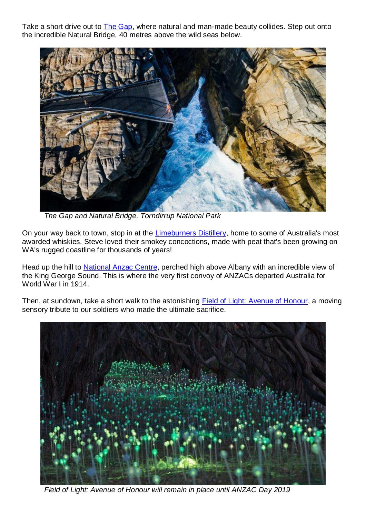Take a short drive out to [The Gap,](https://www.westernaustralia.com/au/Attraction/The_Gap_and_Natural_Bridge/56b2669c2cbcbe7073ae0475#/) where natural and man-made beauty collides. Step out onto the incredible Natural Bridge, 40 metres above the wild seas below.



*The Gap and Natural Bridge, Torndirrup National Park*

On your way back to town, stop in at the [Limeburners Distillery,](https://www.distillery.com.au/) home to some of Australia's most awarded whiskies. Steve loved their smokey concoctions, made with peat that's been growing on WA's rugged coastline for thousands of years!

Head up the hill to [National Anzac Centre,](https://www.westernaustralia.com/en/Attraction/National_Anzac_Centre/56b26bd3d5f1565045dadaa1#/) perched high above Albany with an incredible view of the King George Sound. This is where the very first convoy of ANZACs departed Australia for World War I in 1914.

Then, at sundown, take a short walk to the astonishing [Field of Light: Avenue of Honour,](https://www.westernaustralia.com/en/Attraction/Field_of_Light%3a_Avenue_of_Honour/5a864511a2f40590287ea199#/) a moving sensory tribute to our soldiers who made the ultimate sacrifice.



*Field of Light: Avenue of Honour will remain in place until ANZAC Day 2019*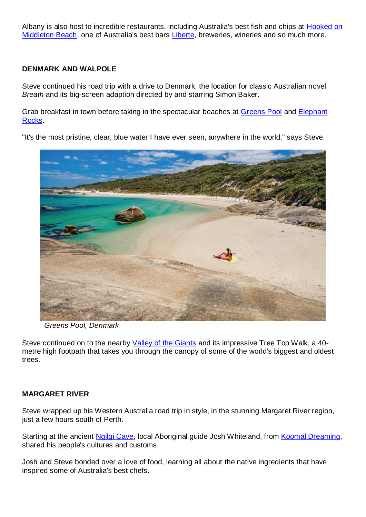Albany is also host to incredible restaurants, including Australia's best fish and chips at Hooked on [Middleton Beach,](https://hookedonmiddletonbeach.com.au/) one of Australia's best bars [Liberte,](https://libertealbany.com.au/) breweries, wineries and so much more.

### **DENMARK AND WALPOLE**

Steve continued his road trip with a drive to Denmark, the location for classic Australian novel *Breath* and its big-screen adaption directed by and starring Simon Baker.

Grab breakfast in town before taking in the spectacular beaches at [Greens Pool](https://www.westernaustralia.com/en/Attraction/Greens_Pool/56b26791d5f1565045daac04#/) and [Elephant](https://www.westernaustralia.com/au/Attraction/Elephant_Rocks/56b267917b935fbe730e6cbe)  [Rocks.](https://www.westernaustralia.com/au/Attraction/Elephant_Rocks/56b267917b935fbe730e6cbe)

"It's the most pristine, clear, blue water I have ever seen, anywhere in the world," says Steve.



*Greens Pool, Denmark*

Steve continued on to the nearby [Valley of the Giants](https://www.valleyofthegiants.com.au/) and its impressive Tree Top Walk, a 40metre high footpath that takes you through the canopy of some of the world's biggest and oldest trees.

# **MARGARET RIVER**

Steve wrapped up his Western Australia road trip in style, in the stunning Margaret River region, just a few hours south of Perth.

Starting at the ancient [Ngilgi Cave,](https://www.westernaustralia.com/en/Tour/Ngilgi_Cave_Cultural_Tour/56b2697eaeeeaaf773cfbfd2/56b2697eaeeeaaf773cfbfd6#/) local Aboriginal guide Josh Whiteland, from [Koomal Dreaming,](https://www.koomaldreaming.com.au/) shared his people's cultures and customs.

Josh and Steve bonded over a love of food, learning all about the native ingredients that have inspired some of Australia's best chefs.